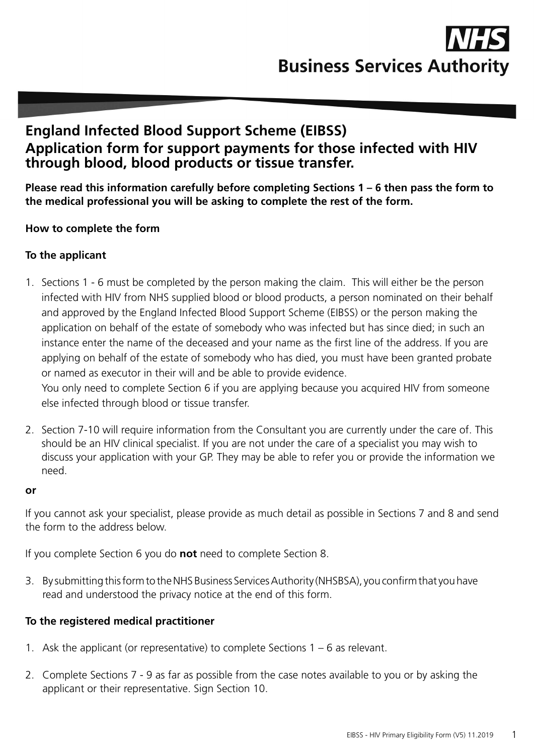# **England Infected Blood Support Scheme (EIBSS) Application form for support payments for those infected with HIV through blood, blood products or tissue transfer.**

**Please read this information carefully before completing Sections 1 – 6 then pass the form to the medical professional you will be asking to complete the rest of the form.**

## **How to complete the form**

## **To the applicant**

1. Sections 1 - 6 must be completed by the person making the claim. This will either be the person infected with HIV from NHS supplied blood or blood products, a person nominated on their behalf and approved by the England Infected Blood Support Scheme (EIBSS) or the person making the application on behalf of the estate of somebody who was infected but has since died; in such an instance enter the name of the deceased and your name as the first line of the address. If you are applying on behalf of the estate of somebody who has died, you must have been granted probate or named as executor in their will and be able to provide evidence.

You only need to complete Section 6 if you are applying because you acquired HIV from someone else infected through blood or tissue transfer.

2. Section 7-10 will require information from the Consultant you are currently under the care of. This should be an HIV clinical specialist. If you are not under the care of a specialist you may wish to discuss your application with your GP. They may be able to refer you or provide the information we need.

#### **or**

If you cannot ask your specialist, please provide as much detail as possible in Sections 7 and 8 and send the form to the address below.

If you complete Section 6 you do **not** need to complete Section 8.

3. By submitting this form to the NHS Business Services Authority (NHSBSA), you confirm that you have read and understood the privacy notice at the end of this form.

### **To the registered medical practitioner**

- 1. Ask the applicant (or representative) to complete Sections 1 6 as relevant.
- 2. Complete Sections 7 9 as far as possible from the case notes available to you or by asking the applicant or their representative. Sign Section 10.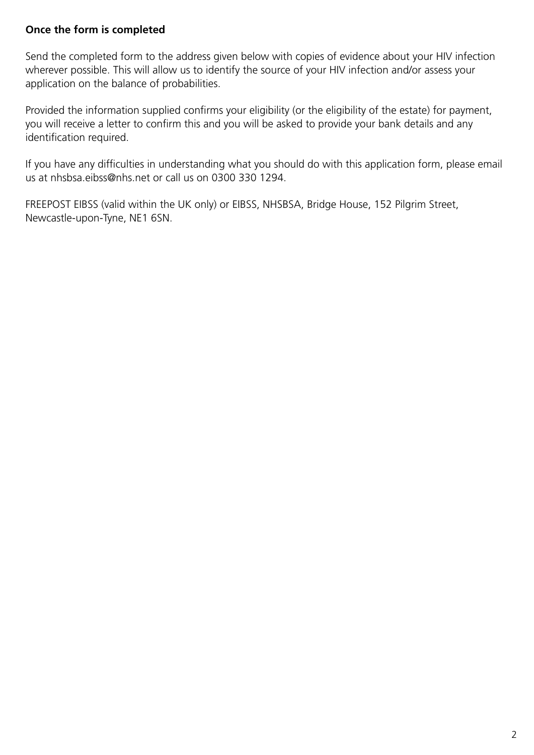# **Once the form is completed**

Send the completed form to the address given below with copies of evidence about your HIV infection wherever possible. This will allow us to identify the source of your HIV infection and/or assess your application on the balance of probabilities.

Provided the information supplied confirms your eligibility (or the eligibility of the estate) for payment, you will receive a letter to confirm this and you will be asked to provide your bank details and any identification required.

If you have any difficulties in understanding what you should do with this application form, please email us at nhsbsa.eibss@nhs.net or call us on 0300 330 1294.

FREEPOST EIBSS (valid within the UK only) or EIBSS, NHSBSA, Bridge House, 152 Pilgrim Street, Newcastle-upon-Tyne, NE1 6SN.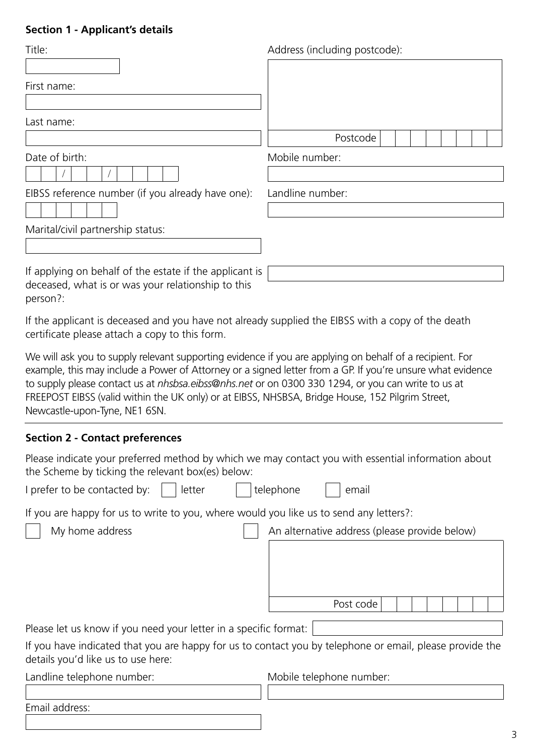### **Section 1 - Applicant's details**

| Title:                                                                                                                    | Address (including postcode): |
|---------------------------------------------------------------------------------------------------------------------------|-------------------------------|
|                                                                                                                           |                               |
| First name:                                                                                                               |                               |
|                                                                                                                           |                               |
| Last name:                                                                                                                |                               |
|                                                                                                                           | Postcode                      |
| Date of birth:                                                                                                            | Mobile number:                |
|                                                                                                                           |                               |
| EIBSS reference number (if you already have one):                                                                         | Landline number:              |
| Marital/civil partnership status:                                                                                         |                               |
|                                                                                                                           |                               |
| If applying on behalf of the estate if the applicant is<br>deceased, what is or was your relationship to this<br>person?: |                               |

If the applicant is deceased and you have not already supplied the EIBSS with a copy of the death certificate please attach a copy to this form.

We will ask you to supply relevant supporting evidence if you are applying on behalf of a recipient. For example, this may include a Power of Attorney or a signed letter from a GP. If you're unsure what evidence to supply please contact us at *nhsbsa.eibss@nhs.net* or on 0300 330 1294, or you can write to us at FREEPOST EIBSS (valid within the UK only) or at EIBSS, NHSBSA, Bridge House, 152 Pilgrim Street, Newcastle-upon-Tyne, NE1 6SN.

### **Section 2 - Contact preferences**

Please indicate your preferred method by which we may contact you with essential information about the Scheme by ticking the relevant box(es) below:

 $letter$   $|$   $|$  telephone  $|$   $|$  email

If you are happy for us to write to you, where would you like us to send any letters?:

My home address and alternative address (please provide below)

Post code

Please let us know if you need your letter in a specific format:

If you have indicated that you are happy for us to contact you by telephone or email, please provide the details you'd like us to use here:

| Landline telephone number: | Mobile telephone number: |  |  |  |  |
|----------------------------|--------------------------|--|--|--|--|
|                            |                          |  |  |  |  |
| Email address:             |                          |  |  |  |  |
|                            |                          |  |  |  |  |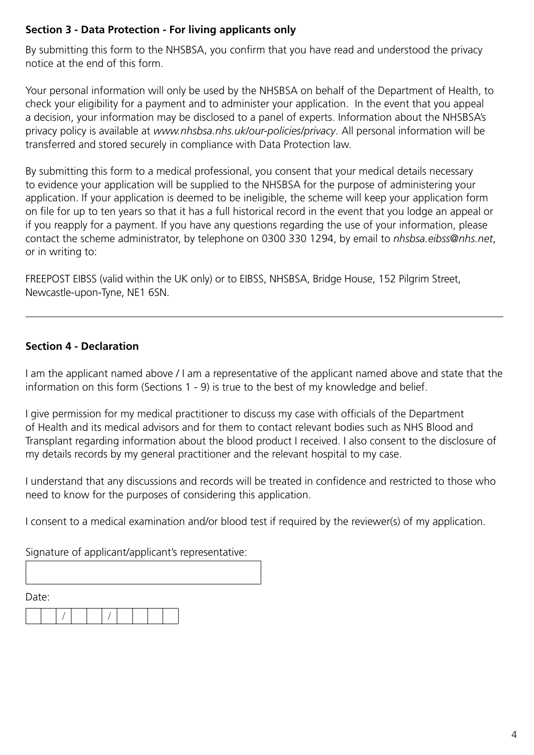# **Section 3 - Data Protection - For living applicants only**

By submitting this form to the NHSBSA, you confirm that you have read and understood the privacy notice at the end of this form.

Your personal information will only be used by the NHSBSA on behalf of the Department of Health, to check your eligibility for a payment and to administer your application. In the event that you appeal a decision, your information may be disclosed to a panel of experts. Information about the NHSBSA's privacy policy is available at *www.nhsbsa.nhs.uk/our-policies/privacy*. All personal information will be transferred and stored securely in compliance with Data Protection law.

By submitting this form to a medical professional, you consent that your medical details necessary to evidence your application will be supplied to the NHSBSA for the purpose of administering your application. If your application is deemed to be ineligible, the scheme will keep your application form on file for up to ten years so that it has a full historical record in the event that you lodge an appeal or if you reapply for a payment. If you have any questions regarding the use of your information, please contact the scheme administrator, by telephone on 0300 330 1294, by email to *nhsbsa.eibss@nhs.net*, or in writing to:

FREEPOST EIBSS (valid within the UK only) or to EIBSS, NHSBSA, Bridge House, 152 Pilgrim Street, Newcastle-upon-Tyne, NE1 6SN.

# **Section 4 - Declaration**

I am the applicant named above / I am a representative of the applicant named above and state that the information on this form (Sections 1 - 9) is true to the best of my knowledge and belief.

I give permission for my medical practitioner to discuss my case with officials of the Department of Health and its medical advisors and for them to contact relevant bodies such as NHS Blood and Transplant regarding information about the blood product I received. I also consent to the disclosure of my details records by my general practitioner and the relevant hospital to my case.

I understand that any discussions and records will be treated in confidence and restricted to those who need to know for the purposes of considering this application.

I consent to a medical examination and/or blood test if required by the reviewer(s) of my application.

### Signature of applicant/applicant's representative:

| Date: |  |  |  |  |  |
|-------|--|--|--|--|--|
|       |  |  |  |  |  |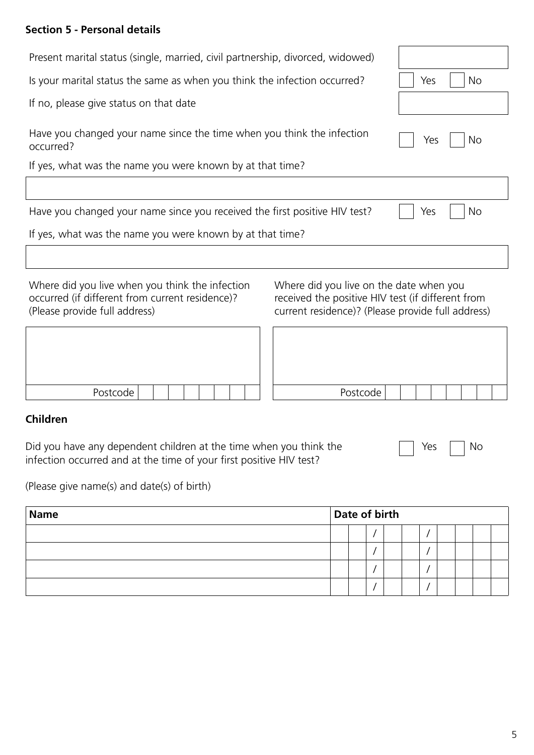# **Section 5 - Personal details**

| Present marital status (single, married, civil partnership, divorced, widowed)                                                                                                                                                                                                           |  |          |               |  |          |  |    |  |
|------------------------------------------------------------------------------------------------------------------------------------------------------------------------------------------------------------------------------------------------------------------------------------------|--|----------|---------------|--|----------|--|----|--|
| Is your marital status the same as when you think the infection occurred?<br>Yes<br><b>No</b>                                                                                                                                                                                            |  |          |               |  |          |  |    |  |
| If no, please give status on that date                                                                                                                                                                                                                                                   |  |          |               |  |          |  |    |  |
| Have you changed your name since the time when you think the infection<br>occurred?<br>If yes, what was the name you were known by at that time?                                                                                                                                         |  |          |               |  | Yes      |  | No |  |
|                                                                                                                                                                                                                                                                                          |  |          |               |  |          |  |    |  |
| Have you changed your name since you received the first positive HIV test?<br>If yes, what was the name you were known by at that time?                                                                                                                                                  |  |          |               |  | Yes      |  | No |  |
|                                                                                                                                                                                                                                                                                          |  |          |               |  |          |  |    |  |
| Where did you live when you think the infection<br>Where did you live on the date when you<br>occurred (if different from current residence)?<br>received the positive HIV test (if different from<br>current residence)? (Please provide full address)<br>(Please provide full address) |  |          |               |  |          |  |    |  |
|                                                                                                                                                                                                                                                                                          |  |          |               |  |          |  |    |  |
| Postcode                                                                                                                                                                                                                                                                                 |  | Postcode |               |  |          |  |    |  |
| Children<br>Did you have any dependent children at the time when you think the<br>infection occurred and at the time of your first positive HIV test?<br>(Please give name(s) and date(s) of birth)                                                                                      |  |          |               |  | Yes      |  | No |  |
| <b>Name</b>                                                                                                                                                                                                                                                                              |  |          | Date of birth |  |          |  |    |  |
|                                                                                                                                                                                                                                                                                          |  |          |               |  | $\prime$ |  |    |  |
|                                                                                                                                                                                                                                                                                          |  |          | 7<br>$\prime$ |  |          |  |    |  |
|                                                                                                                                                                                                                                                                                          |  |          | $\prime$      |  |          |  |    |  |

5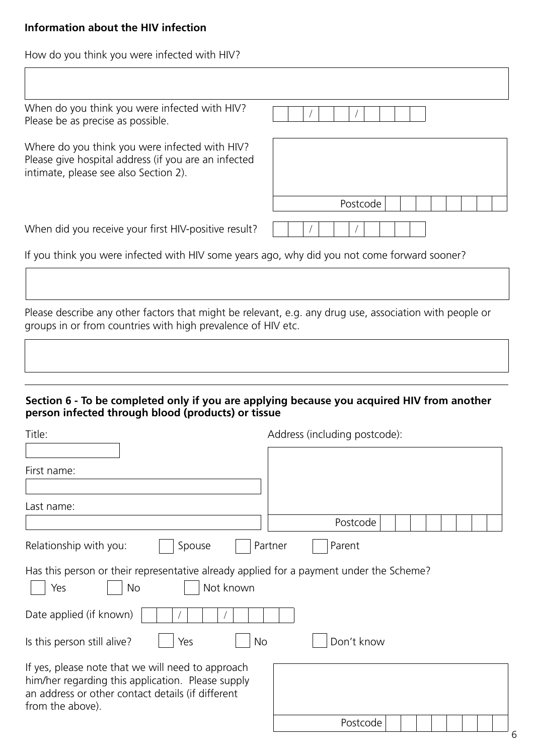# **Information about the HIV infection**

How do you think you were infected with HIV?

| When do you think you were infected with HIV?<br>Please be as precise as possible.                                                                                      |                               |
|-------------------------------------------------------------------------------------------------------------------------------------------------------------------------|-------------------------------|
| Where do you think you were infected with HIV?<br>Please give hospital address (if you are an infected<br>intimate, please see also Section 2).                         |                               |
|                                                                                                                                                                         | Postcode                      |
| When did you receive your first HIV-positive result?                                                                                                                    |                               |
| If you think you were infected with HIV some years ago, why did you not come forward sooner?                                                                            |                               |
|                                                                                                                                                                         |                               |
| Please describe any other factors that might be relevant, e.g. any drug use, association with people or<br>groups in or from countries with high prevalence of HIV etc. |                               |
|                                                                                                                                                                         |                               |
|                                                                                                                                                                         |                               |
| Section 6 - To be completed only if you are applying because you acquired HIV from another<br>person infected through blood (products) or tissue                        |                               |
| Title:                                                                                                                                                                  | Address (including postcode): |
|                                                                                                                                                                         |                               |
| First name:                                                                                                                                                             |                               |
| Last name:                                                                                                                                                              |                               |
|                                                                                                                                                                         | Postcode                      |
| Relationship with you:<br>Spouse                                                                                                                                        | Parent<br>Partner             |

Has this person or their representative already applied for a payment under the Scheme? Yes No Not known

| No<br>Yes                                                                                                                                                                       | Not known |            |  |
|---------------------------------------------------------------------------------------------------------------------------------------------------------------------------------|-----------|------------|--|
| Date applied (if known)                                                                                                                                                         |           |            |  |
| Is this person still alive?                                                                                                                                                     | Yes<br>No | Don't know |  |
| If yes, please note that we will need to approach<br>him/her regarding this application. Please supply<br>an address or other contact details (if different<br>from the above). |           |            |  |

Postcode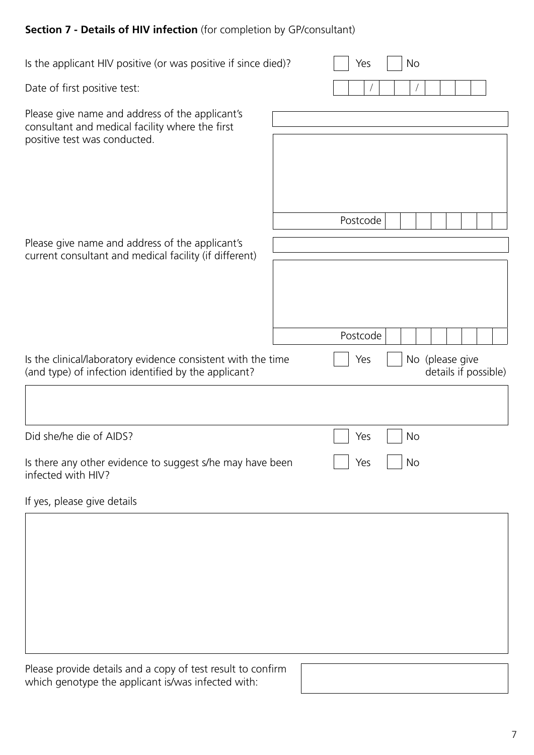# **Section 7 - Details of HIV infection** (for completion by GP/consultant)

| Postcode                                                                                                       |
|----------------------------------------------------------------------------------------------------------------|
|                                                                                                                |
| Postcode                                                                                                       |
| Is the clinical/laboratory evidence consistent with the time<br>No (please give<br>Yes<br>details if possible) |
|                                                                                                                |
| <b>No</b><br>Yes                                                                                               |
| Is there any other evidence to suggest s/he may have been<br><b>No</b><br>Yes                                  |
|                                                                                                                |
|                                                                                                                |
|                                                                                                                |

Please provide details and a copy of test result to confirm which genotype the applicant is/was infected with: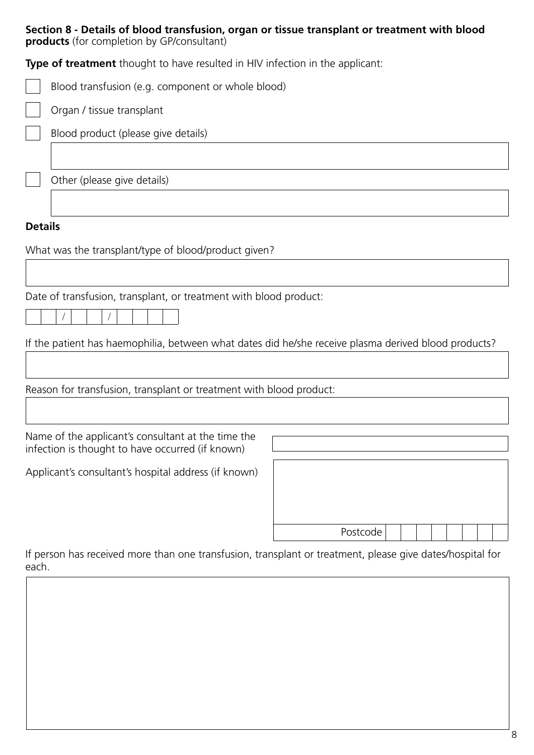**Section 8 - Details of blood transfusion, organ or tissue transplant or treatment with blood products** (for completion by GP/consultant)

**Type of treatment** thought to have resulted in HIV infection in the applicant:

 $\overline{\phantom{0}}$ 

|                | Blood transfusion (e.g. component or whole blood)                                                    |
|----------------|------------------------------------------------------------------------------------------------------|
|                | Organ / tissue transplant                                                                            |
|                | Blood product (please give details)                                                                  |
|                |                                                                                                      |
|                | Other (please give details)                                                                          |
|                |                                                                                                      |
| <b>Details</b> |                                                                                                      |
|                | What was the transplant/type of blood/product given?                                                 |
|                |                                                                                                      |
|                | Date of transfusion, transplant, or treatment with blood product:                                    |
|                |                                                                                                      |
|                | If the patient has haemophilia, between what dates did he/she receive plasma derived blood products? |
|                |                                                                                                      |
|                | Reason for transfusion, transplant or treatment with blood product:                                  |
|                |                                                                                                      |
|                | Name of the applicant's consultant at the time the                                                   |
|                | infection is thought to have occurred (if known)                                                     |
|                | Applicant's consultant's hospital address (if known)                                                 |
|                |                                                                                                      |

If person has received more than one transfusion, transplant or treatment, please give dates/hospital for each.

Postcode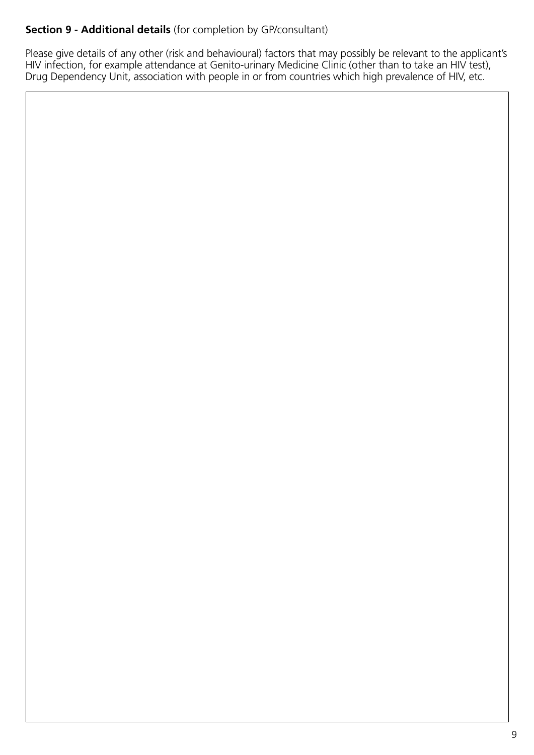# **Section 9 - Additional details** (for completion by GP/consultant)

Please give details of any other (risk and behavioural) factors that may possibly be relevant to the applicant's HIV infection, for example attendance at Genito-urinary Medicine Clinic (other than to take an HIV test), Drug Dependency Unit, association with people in or from countries which high prevalence of HIV, etc.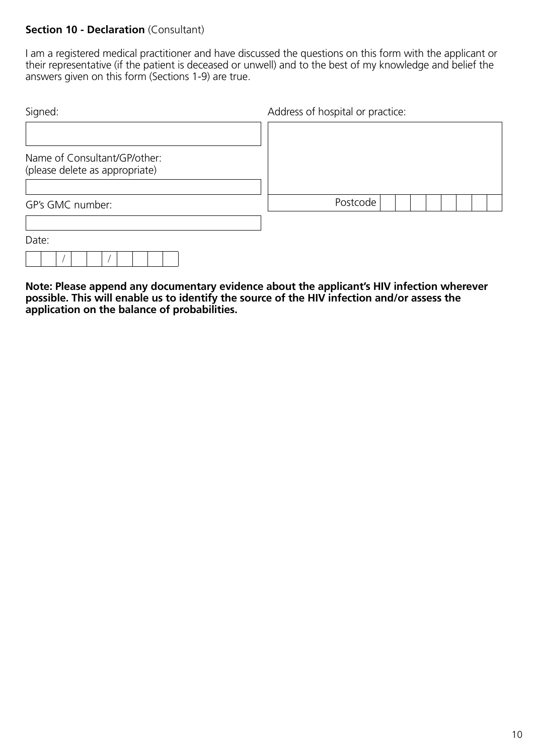### **Section 10 - Declaration** (Consultant)

I am a registered medical practitioner and have discussed the questions on this form with the applicant or their representative (if the patient is deceased or unwell) and to the best of my knowledge and belief the answers given on this form (Sections 1-9) are true.

| Signed:                                                        | Address of hospital or practice: |
|----------------------------------------------------------------|----------------------------------|
| Name of Consultant/GP/other:<br>(please delete as appropriate) |                                  |
| GP's GMC number:                                               | Postcode                         |
| Date:                                                          |                                  |

**Note: Please append any documentary evidence about the applicant's HIV infection wherever possible. This will enable us to identify the source of the HIV infection and/or assess the application on the balance of probabilities.**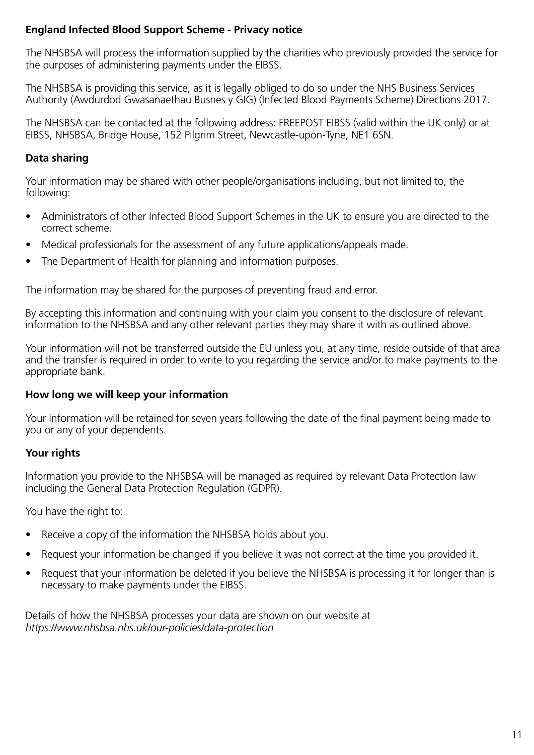## **England Infected Blood Support Scheme - Privacy notice**

The NHSBSA will process the information supplied by the charities who previously provided the service for the purposes of administering payments under the EIBSS.

The NHSBSA is providing this service, as it is legally obliged to do so under the NHS Business Services Authority (Awdurdod Gwasanaethau Busnes y GIG) (Infected Blood Payments Scheme) Directions 2017.

The NHSBSA can be contacted at the following address: FREEPOST EIBSS (valid within the UK only) or at EIBSS, NHSBSA, Bridge House, 152 Pilgrim Street, Newcastle-upon-Tyne, NE1 6SN.

# **Data sharing**

Your information may be shared with other people/organisations including, but not limited to, the following:

- Administrators of other Infected Blood Support Schemes in the UK to ensure you are directed to the correct scheme.
- Medical professionals for the assessment of any future applications/appeals made.
- The Department of Health for planning and information purposes.

The information may be shared for the purposes of preventing fraud and error.

By accepting this information and continuing with your claim you consent to the disclosure of relevant information to the NHSBSA and any other relevant parties they may share it with as outlined above.

Your information will not be transferred outside the EU unless you, at any time, reside outside of that area and the transfer is required in order to write to you regarding the service and/or to make payments to the appropriate bank.

# **How long we will keep your information**

Your information will be retained for seven years following the date of the final payment being made to you or any of your dependents.

# **Your rights**

Information you provide to the NHSBSA will be managed as required by relevant Data Protection law including the General Data Protection Regulation (GDPR).

You have the right to:

- Receive a copy of the information the NHSBSA holds about you.
- Request your information be changed if you believe it was not correct at the time you provided it.
- Request that your information be deleted if you believe the NHSBSA is processing it for longer than is necessary to make payments under the EIBSS.

Details of how the NHSBSA processes your data are shown on our website at *https://www.nhsbsa.nhs.uk/our-policies/data-protection*